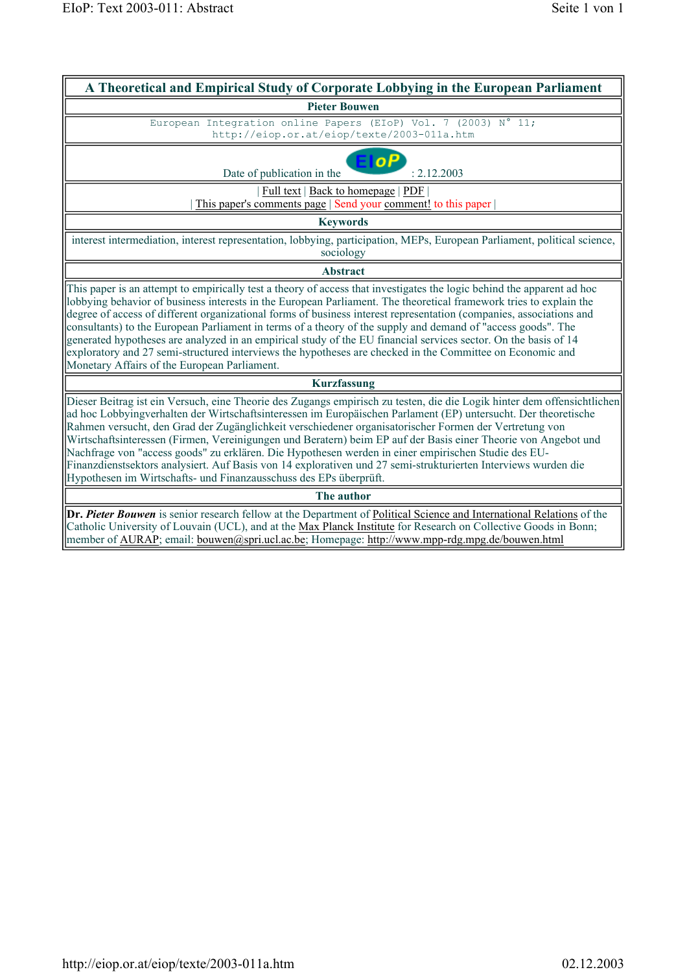| A Theoretical and Empirical Study of Corporate Lobbying in the European Parliament                                                                                                                                                                                                                                                                                                                                                                                                                                                                                                                                                                                                                                                                                  |  |  |  |
|---------------------------------------------------------------------------------------------------------------------------------------------------------------------------------------------------------------------------------------------------------------------------------------------------------------------------------------------------------------------------------------------------------------------------------------------------------------------------------------------------------------------------------------------------------------------------------------------------------------------------------------------------------------------------------------------------------------------------------------------------------------------|--|--|--|
| <b>Pieter Bouwen</b>                                                                                                                                                                                                                                                                                                                                                                                                                                                                                                                                                                                                                                                                                                                                                |  |  |  |
| European Integration online Papers (EIoP) Vol. 7 (2003) N° 11;<br>http://eiop.or.at/eiop/texte/2003-011a.htm                                                                                                                                                                                                                                                                                                                                                                                                                                                                                                                                                                                                                                                        |  |  |  |
| EloP<br>Date of publication in the<br>: 2.12.2003                                                                                                                                                                                                                                                                                                                                                                                                                                                                                                                                                                                                                                                                                                                   |  |  |  |
| Full text   Back to homepage   PDF<br>This paper's comments page   Send your comment! to this paper                                                                                                                                                                                                                                                                                                                                                                                                                                                                                                                                                                                                                                                                 |  |  |  |
| <b>Keywords</b>                                                                                                                                                                                                                                                                                                                                                                                                                                                                                                                                                                                                                                                                                                                                                     |  |  |  |
| interest intermediation, interest representation, lobbying, participation, MEPs, European Parliament, political science,<br>sociology                                                                                                                                                                                                                                                                                                                                                                                                                                                                                                                                                                                                                               |  |  |  |
| <b>Abstract</b>                                                                                                                                                                                                                                                                                                                                                                                                                                                                                                                                                                                                                                                                                                                                                     |  |  |  |
| This paper is an attempt to empirically test a theory of access that investigates the logic behind the apparent ad hoc<br>lobbying behavior of business interests in the European Parliament. The theoretical framework tries to explain the<br>degree of access of different organizational forms of business interest representation (companies, associations and<br>consultants) to the European Parliament in terms of a theory of the supply and demand of "access goods". The<br>generated hypotheses are analyzed in an empirical study of the EU financial services sector. On the basis of 14<br>exploratory and 27 semi-structured interviews the hypotheses are checked in the Committee on Economic and<br>Monetary Affairs of the European Parliament. |  |  |  |
| <b>Kurzfassung</b>                                                                                                                                                                                                                                                                                                                                                                                                                                                                                                                                                                                                                                                                                                                                                  |  |  |  |
| Dieser Beitrag ist ein Versuch, eine Theorie des Zugangs empirisch zu testen, die die Logik hinter dem offensichtlichen<br>ad hoc Lobbyingverhalten der Wirtschaftsinteressen im Europäischen Parlament (EP) untersucht. Der theoretische<br>Rahmen versucht, den Grad der Zugänglichkeit verschiedener organisatorischer Formen der Vertretung von<br>Wirtschaftsinteressen (Firmen, Vereinigungen und Beratern) beim EP auf der Basis einer Theorie von Angebot und<br>Nachfrage von "access goods" zu erklären. Die Hypothesen werden in einer empirischen Studie des EU-<br>Finanzdienstsektors analysiert. Auf Basis von 14 explorativen und 27 semi-strukturierten Interviews wurden die<br>Hypothesen im Wirtschafts- und Finanzausschuss des EPs überprüft. |  |  |  |
| The author                                                                                                                                                                                                                                                                                                                                                                                                                                                                                                                                                                                                                                                                                                                                                          |  |  |  |
| Dr. Pieter Bouwen is senior research fellow at the Department of Political Science and International Relations of the<br>Catholic University of Louvain (UCL), and at the Max Planck Institute for Research on Collective Goods in Bonn;<br>member of AURAP; email: bouwen@spri.ucl.ac.be; Homepage: http://www.mpp-rdg.mpg.de/bouwen.html                                                                                                                                                                                                                                                                                                                                                                                                                          |  |  |  |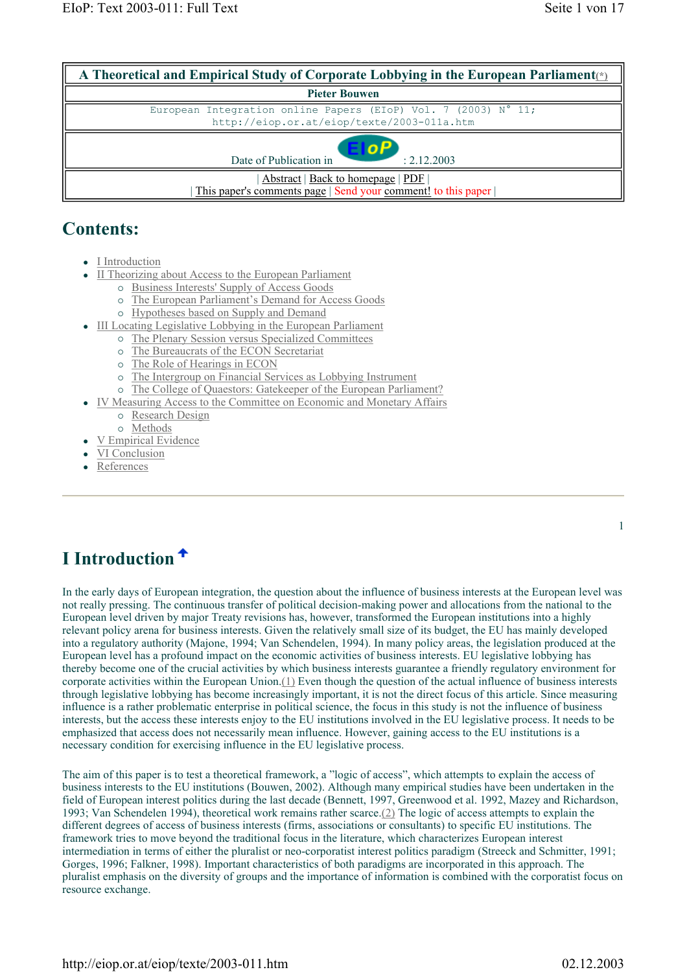| A Theoretical and Empirical Study of Corporate Lobbying in the European Parliament <sub>(*)</sub>            |  |  |  |
|--------------------------------------------------------------------------------------------------------------|--|--|--|
| <b>Pieter Bouwen</b>                                                                                         |  |  |  |
| European Integration online Papers (EIoP) Vol. 7 (2003) N° 11;<br>http://eiop.or.at/eiop/texte/2003-011a.htm |  |  |  |
| FIOP<br>Date of Publication in<br>: 2.12.2003                                                                |  |  |  |
| Abstract   Back to homepage   PDF  <br>This paper's comments page   Send your comment! to this paper         |  |  |  |

## **Contents:**

- I Introduction
- II Theorizing about Access to the European Parliament
	- { Business Interests' Supply of Access Goods
	- { The European Parliament's Demand for Access Goods
	- { Hypotheses based on Supply and Demand
- III Locating Legislative Lobbying in the European Parliament
	- { The Plenary Session versus Specialized Committees
		- { The Bureaucrats of the ECON Secretariat
		- { The Role of Hearings in ECON
	- { The Intergroup on Financial Services as Lobbying Instrument
	- { The College of Quaestors: Gatekeeper of the European Parliament?
	- IV Measuring Access to the Committee on Economic and Monetary Affairs
		- { Research Design
			- { Methods
	- V Empirical Evidence
- VI Conclusion
- References

1

# **I Introduction**

In the early days of European integration, the question about the influence of business interests at the European level was not really pressing. The continuous transfer of political decision-making power and allocations from the national to the European level driven by major Treaty revisions has, however, transformed the European institutions into a highly relevant policy arena for business interests. Given the relatively small size of its budget, the EU has mainly developed into a regulatory authority (Majone, 1994; Van Schendelen, 1994). In many policy areas, the legislation produced at the European level has a profound impact on the economic activities of business interests. EU legislative lobbying has thereby become one of the crucial activities by which business interests guarantee a friendly regulatory environment for corporate activities within the European Union. $(1)$  Even though the question of the actual influence of business interests through legislative lobbying has become increasingly important, it is not the direct focus of this article. Since measuring influence is a rather problematic enterprise in political science, the focus in this study is not the influence of business interests, but the access these interests enjoy to the EU institutions involved in the EU legislative process. It needs to be emphasized that access does not necessarily mean influence. However, gaining access to the EU institutions is a necessary condition for exercising influence in the EU legislative process.

The aim of this paper is to test a theoretical framework, a "logic of access", which attempts to explain the access of business interests to the EU institutions (Bouwen, 2002). Although many empirical studies have been undertaken in the field of European interest politics during the last decade (Bennett, 1997, Greenwood et al. 1992, Mazey and Richardson, 1993; Van Schendelen 1994), theoretical work remains rather scarce.(2) The logic of access attempts to explain the different degrees of access of business interests (firms, associations or consultants) to specific EU institutions. The framework tries to move beyond the traditional focus in the literature, which characterizes European interest intermediation in terms of either the pluralist or neo-corporatist interest politics paradigm (Streeck and Schmitter, 1991; Gorges, 1996; Falkner, 1998). Important characteristics of both paradigms are incorporated in this approach. The pluralist emphasis on the diversity of groups and the importance of information is combined with the corporatist focus on resource exchange.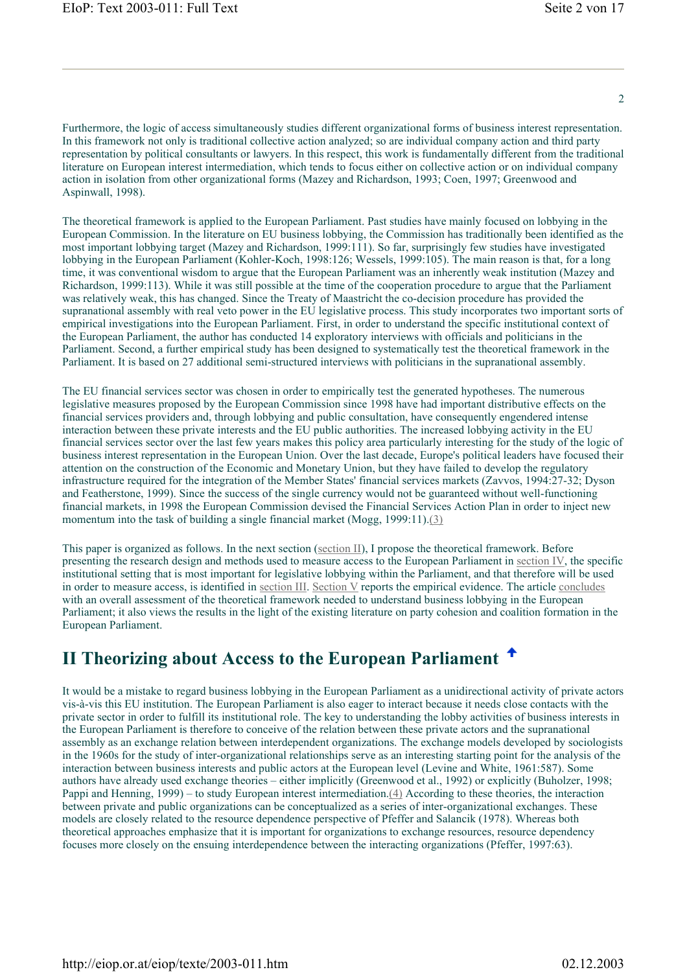$\mathcal{D}$ 

Furthermore, the logic of access simultaneously studies different organizational forms of business interest representation. In this framework not only is traditional collective action analyzed; so are individual company action and third party representation by political consultants or lawyers. In this respect, this work is fundamentally different from the traditional literature on European interest intermediation, which tends to focus either on collective action or on individual company action in isolation from other organizational forms (Mazey and Richardson, 1993; Coen, 1997; Greenwood and Aspinwall, 1998).

The theoretical framework is applied to the European Parliament. Past studies have mainly focused on lobbying in the European Commission. In the literature on EU business lobbying, the Commission has traditionally been identified as the most important lobbying target (Mazey and Richardson, 1999:111). So far, surprisingly few studies have investigated lobbying in the European Parliament (Kohler-Koch, 1998:126; Wessels, 1999:105). The main reason is that, for a long time, it was conventional wisdom to argue that the European Parliament was an inherently weak institution (Mazey and Richardson, 1999:113). While it was still possible at the time of the cooperation procedure to argue that the Parliament was relatively weak, this has changed. Since the Treaty of Maastricht the co-decision procedure has provided the supranational assembly with real veto power in the EU legislative process. This study incorporates two important sorts of empirical investigations into the European Parliament. First, in order to understand the specific institutional context of the European Parliament, the author has conducted 14 exploratory interviews with officials and politicians in the Parliament. Second, a further empirical study has been designed to systematically test the theoretical framework in the Parliament. It is based on 27 additional semi-structured interviews with politicians in the supranational assembly.

The EU financial services sector was chosen in order to empirically test the generated hypotheses. The numerous legislative measures proposed by the European Commission since 1998 have had important distributive effects on the financial services providers and, through lobbying and public consultation, have consequently engendered intense interaction between these private interests and the EU public authorities. The increased lobbying activity in the EU financial services sector over the last few years makes this policy area particularly interesting for the study of the logic of business interest representation in the European Union. Over the last decade, Europe's political leaders have focused their attention on the construction of the Economic and Monetary Union, but they have failed to develop the regulatory infrastructure required for the integration of the Member States' financial services markets (Zavvos, 1994:27-32; Dyson and Featherstone, 1999). Since the success of the single currency would not be guaranteed without well-functioning financial markets, in 1998 the European Commission devised the Financial Services Action Plan in order to inject new momentum into the task of building a single financial market (Mogg, 1999:11).(3)

This paper is organized as follows. In the next section (section II), I propose the theoretical framework. Before presenting the research design and methods used to measure access to the European Parliament in section IV, the specific institutional setting that is most important for legislative lobbying within the Parliament, and that therefore will be used in order to measure access, is identified in section III. Section V reports the empirical evidence. The article concludes with an overall assessment of the theoretical framework needed to understand business lobbying in the European Parliament; it also views the results in the light of the existing literature on party cohesion and coalition formation in the European Parliament.

## **II Theorizing about Access to the European Parliament**

It would be a mistake to regard business lobbying in the European Parliament as a unidirectional activity of private actors vis-à-vis this EU institution. The European Parliament is also eager to interact because it needs close contacts with the private sector in order to fulfill its institutional role. The key to understanding the lobby activities of business interests in the European Parliament is therefore to conceive of the relation between these private actors and the supranational assembly as an exchange relation between interdependent organizations. The exchange models developed by sociologists in the 1960s for the study of inter-organizational relationships serve as an interesting starting point for the analysis of the interaction between business interests and public actors at the European level (Levine and White, 1961:587). Some authors have already used exchange theories – either implicitly (Greenwood et al., 1992) or explicitly (Buholzer, 1998; Pappi and Henning, 1999) – to study European interest intermediation.(4) According to these theories, the interaction between private and public organizations can be conceptualized as a series of inter-organizational exchanges. These models are closely related to the resource dependence perspective of Pfeffer and Salancik (1978). Whereas both theoretical approaches emphasize that it is important for organizations to exchange resources, resource dependency focuses more closely on the ensuing interdependence between the interacting organizations (Pfeffer, 1997:63).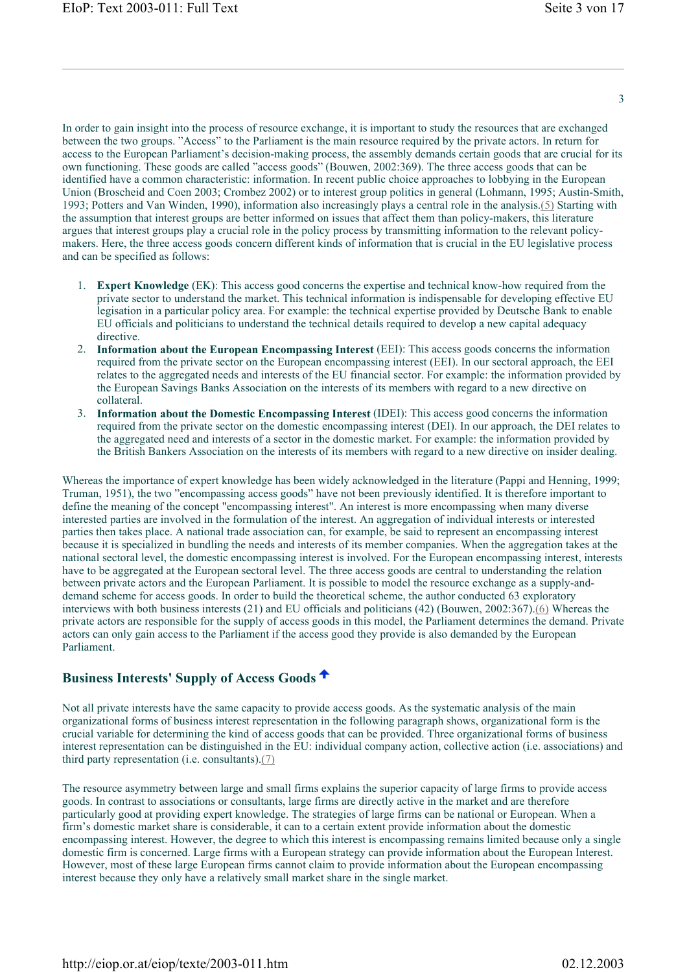In order to gain insight into the process of resource exchange, it is important to study the resources that are exchanged between the two groups. "Access" to the Parliament is the main resource required by the private actors. In return for access to the European Parliament's decision-making process, the assembly demands certain goods that are crucial for its own functioning. These goods are called "access goods" (Bouwen, 2002:369). The three access goods that can be identified have a common characteristic: information. In recent public choice approaches to lobbying in the European Union (Broscheid and Coen 2003; Crombez 2002) or to interest group politics in general (Lohmann, 1995; Austin-Smith, 1993; Potters and Van Winden, 1990), information also increasingly plays a central role in the analysis.(5) Starting with the assumption that interest groups are better informed on issues that affect them than policy-makers, this literature argues that interest groups play a crucial role in the policy process by transmitting information to the relevant policymakers. Here, the three access goods concern different kinds of information that is crucial in the EU legislative process and can be specified as follows:

- 1. **Expert Knowledge** (EK): This access good concerns the expertise and technical know-how required from the private sector to understand the market. This technical information is indispensable for developing effective EU legisation in a particular policy area. For example: the technical expertise provided by Deutsche Bank to enable EU officials and politicians to understand the technical details required to develop a new capital adequacy directive.
- 2. **Information about the European Encompassing Interest** (EEI): This access goods concerns the information required from the private sector on the European encompassing interest (EEI). In our sectoral approach, the EEI relates to the aggregated needs and interests of the EU financial sector. For example: the information provided by the European Savings Banks Association on the interests of its members with regard to a new directive on collateral.
- 3. **Information about the Domestic Encompassing Interest** (IDEI): This access good concerns the information required from the private sector on the domestic encompassing interest (DEI). In our approach, the DEI relates to the aggregated need and interests of a sector in the domestic market. For example: the information provided by the British Bankers Association on the interests of its members with regard to a new directive on insider dealing.

Whereas the importance of expert knowledge has been widely acknowledged in the literature (Pappi and Henning, 1999; Truman, 1951), the two "encompassing access goods" have not been previously identified. It is therefore important to define the meaning of the concept "encompassing interest". An interest is more encompassing when many diverse interested parties are involved in the formulation of the interest. An aggregation of individual interests or interested parties then takes place. A national trade association can, for example, be said to represent an encompassing interest because it is specialized in bundling the needs and interests of its member companies. When the aggregation takes at the national sectoral level, the domestic encompassing interest is involved. For the European encompassing interest, interests have to be aggregated at the European sectoral level. The three access goods are central to understanding the relation between private actors and the European Parliament. It is possible to model the resource exchange as a supply-anddemand scheme for access goods. In order to build the theoretical scheme, the author conducted 63 exploratory interviews with both business interests (21) and EU officials and politicians (42) (Bouwen, 2002:367).(6) Whereas the private actors are responsible for the supply of access goods in this model, the Parliament determines the demand. Private actors can only gain access to the Parliament if the access good they provide is also demanded by the European Parliament.

## **Business Interests' Supply of Access Goods**

Not all private interests have the same capacity to provide access goods. As the systematic analysis of the main organizational forms of business interest representation in the following paragraph shows, organizational form is the crucial variable for determining the kind of access goods that can be provided. Three organizational forms of business interest representation can be distinguished in the EU: individual company action, collective action (i.e. associations) and third party representation (i.e. consultants).(7)

The resource asymmetry between large and small firms explains the superior capacity of large firms to provide access goods. In contrast to associations or consultants, large firms are directly active in the market and are therefore particularly good at providing expert knowledge. The strategies of large firms can be national or European. When a firm's domestic market share is considerable, it can to a certain extent provide information about the domestic encompassing interest. However, the degree to which this interest is encompassing remains limited because only a single domestic firm is concerned. Large firms with a European strategy can provide information about the European Interest. However, most of these large European firms cannot claim to provide information about the European encompassing interest because they only have a relatively small market share in the single market.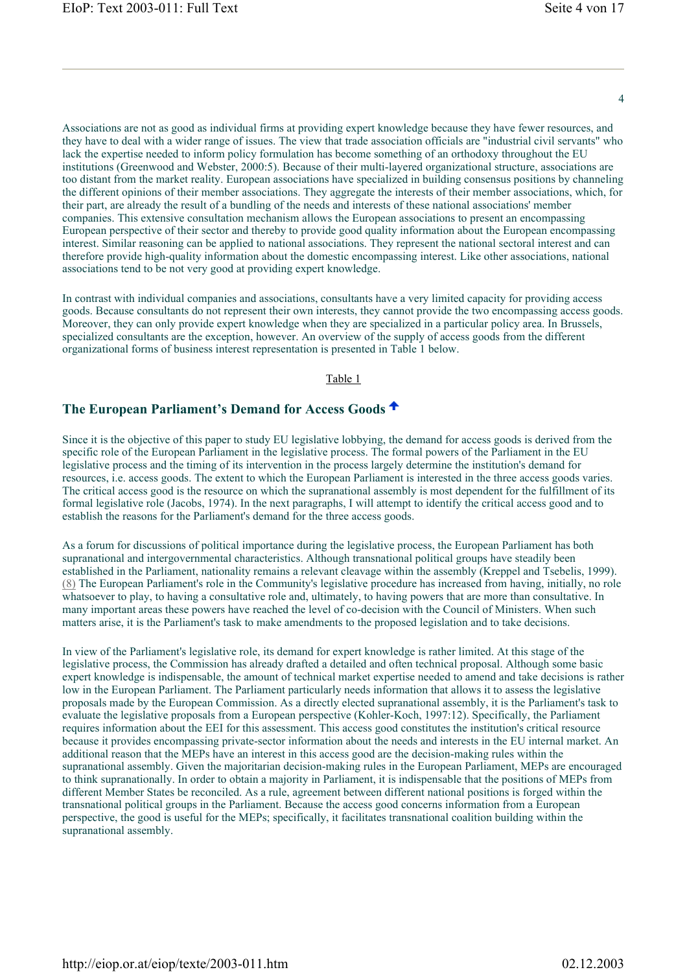$\Delta$ 

Associations are not as good as individual firms at providing expert knowledge because they have fewer resources, and they have to deal with a wider range of issues. The view that trade association officials are "industrial civil servants" who lack the expertise needed to inform policy formulation has become something of an orthodoxy throughout the EU institutions (Greenwood and Webster, 2000:5). Because of their multi-layered organizational structure, associations are too distant from the market reality. European associations have specialized in building consensus positions by channeling the different opinions of their member associations. They aggregate the interests of their member associations, which, for their part, are already the result of a bundling of the needs and interests of these national associations' member companies. This extensive consultation mechanism allows the European associations to present an encompassing European perspective of their sector and thereby to provide good quality information about the European encompassing interest. Similar reasoning can be applied to national associations. They represent the national sectoral interest and can therefore provide high-quality information about the domestic encompassing interest. Like other associations, national associations tend to be not very good at providing expert knowledge.

In contrast with individual companies and associations, consultants have a very limited capacity for providing access goods. Because consultants do not represent their own interests, they cannot provide the two encompassing access goods. Moreover, they can only provide expert knowledge when they are specialized in a particular policy area. In Brussels, specialized consultants are the exception, however. An overview of the supply of access goods from the different organizational forms of business interest representation is presented in Table 1 below.

#### Table 1

## **The European Parliament's Demand for Access Goods**

Since it is the objective of this paper to study EU legislative lobbying, the demand for access goods is derived from the specific role of the European Parliament in the legislative process. The formal powers of the Parliament in the EU legislative process and the timing of its intervention in the process largely determine the institution's demand for resources, i.e. access goods. The extent to which the European Parliament is interested in the three access goods varies. The critical access good is the resource on which the supranational assembly is most dependent for the fulfillment of its formal legislative role (Jacobs, 1974). In the next paragraphs, I will attempt to identify the critical access good and to establish the reasons for the Parliament's demand for the three access goods.

As a forum for discussions of political importance during the legislative process, the European Parliament has both supranational and intergovernmental characteristics. Although transnational political groups have steadily been established in the Parliament, nationality remains a relevant cleavage within the assembly (Kreppel and Tsebelis, 1999). (8) The European Parliament's role in the Community's legislative procedure has increased from having, initially, no role whatsoever to play, to having a consultative role and, ultimately, to having powers that are more than consultative. In many important areas these powers have reached the level of co-decision with the Council of Ministers. When such matters arise, it is the Parliament's task to make amendments to the proposed legislation and to take decisions.

In view of the Parliament's legislative role, its demand for expert knowledge is rather limited. At this stage of the legislative process, the Commission has already drafted a detailed and often technical proposal. Although some basic expert knowledge is indispensable, the amount of technical market expertise needed to amend and take decisions is rather low in the European Parliament. The Parliament particularly needs information that allows it to assess the legislative proposals made by the European Commission. As a directly elected supranational assembly, it is the Parliament's task to evaluate the legislative proposals from a European perspective (Kohler-Koch, 1997:12). Specifically, the Parliament requires information about the EEI for this assessment. This access good constitutes the institution's critical resource because it provides encompassing private-sector information about the needs and interests in the EU internal market. An additional reason that the MEPs have an interest in this access good are the decision-making rules within the supranational assembly. Given the majoritarian decision-making rules in the European Parliament, MEPs are encouraged to think supranationally. In order to obtain a majority in Parliament, it is indispensable that the positions of MEPs from different Member States be reconciled. As a rule, agreement between different national positions is forged within the transnational political groups in the Parliament. Because the access good concerns information from a European perspective, the good is useful for the MEPs; specifically, it facilitates transnational coalition building within the supranational assembly.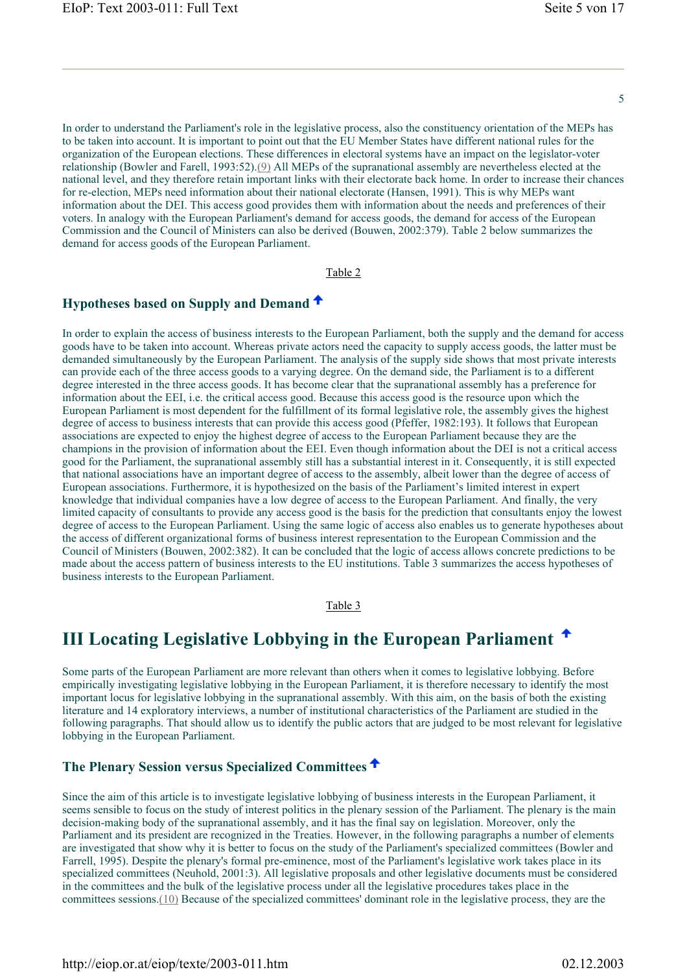In order to understand the Parliament's role in the legislative process, also the constituency orientation of the MEPs has to be taken into account. It is important to point out that the EU Member States have different national rules for the organization of the European elections. These differences in electoral systems have an impact on the legislator-voter relationship (Bowler and Farell, 1993:52).(9) All MEPs of the supranational assembly are nevertheless elected at the national level, and they therefore retain important links with their electorate back home. In order to increase their chances for re-election, MEPs need information about their national electorate (Hansen, 1991). This is why MEPs want information about the DEI. This access good provides them with information about the needs and preferences of their voters. In analogy with the European Parliament's demand for access goods, the demand for access of the European Commission and the Council of Ministers can also be derived (Bouwen, 2002:379). Table 2 below summarizes the demand for access goods of the European Parliament.

Table 2

## **Hypotheses based on Supply and Demand**

In order to explain the access of business interests to the European Parliament, both the supply and the demand for access goods have to be taken into account. Whereas private actors need the capacity to supply access goods, the latter must be demanded simultaneously by the European Parliament. The analysis of the supply side shows that most private interests can provide each of the three access goods to a varying degree. On the demand side, the Parliament is to a different degree interested in the three access goods. It has become clear that the supranational assembly has a preference for information about the EEI, i.e. the critical access good. Because this access good is the resource upon which the European Parliament is most dependent for the fulfillment of its formal legislative role, the assembly gives the highest degree of access to business interests that can provide this access good (Pfeffer, 1982:193). It follows that European associations are expected to enjoy the highest degree of access to the European Parliament because they are the champions in the provision of information about the EEI. Even though information about the DEI is not a critical access good for the Parliament, the supranational assembly still has a substantial interest in it. Consequently, it is still expected that national associations have an important degree of access to the assembly, albeit lower than the degree of access of European associations. Furthermore, it is hypothesized on the basis of the Parliament's limited interest in expert knowledge that individual companies have a low degree of access to the European Parliament. And finally, the very limited capacity of consultants to provide any access good is the basis for the prediction that consultants enjoy the lowest degree of access to the European Parliament. Using the same logic of access also enables us to generate hypotheses about the access of different organizational forms of business interest representation to the European Commission and the Council of Ministers (Bouwen, 2002:382). It can be concluded that the logic of access allows concrete predictions to be made about the access pattern of business interests to the EU institutions. Table 3 summarizes the access hypotheses of business interests to the European Parliament.

Table 3

## **III Locating Legislative Lobbying in the European Parliament**

Some parts of the European Parliament are more relevant than others when it comes to legislative lobbying. Before empirically investigating legislative lobbying in the European Parliament, it is therefore necessary to identify the most important locus for legislative lobbying in the supranational assembly. With this aim, on the basis of both the existing literature and 14 exploratory interviews, a number of institutional characteristics of the Parliament are studied in the following paragraphs. That should allow us to identify the public actors that are judged to be most relevant for legislative lobbying in the European Parliament.

### **The Plenary Session versus Specialized Committees**

Since the aim of this article is to investigate legislative lobbying of business interests in the European Parliament, it seems sensible to focus on the study of interest politics in the plenary session of the Parliament. The plenary is the main decision-making body of the supranational assembly, and it has the final say on legislation. Moreover, only the Parliament and its president are recognized in the Treaties. However, in the following paragraphs a number of elements are investigated that show why it is better to focus on the study of the Parliament's specialized committees (Bowler and Farrell, 1995). Despite the plenary's formal pre-eminence, most of the Parliament's legislative work takes place in its specialized committees (Neuhold, 2001:3). All legislative proposals and other legislative documents must be considered in the committees and the bulk of the legislative process under all the legislative procedures takes place in the committees sessions.(10) Because of the specialized committees' dominant role in the legislative process, they are the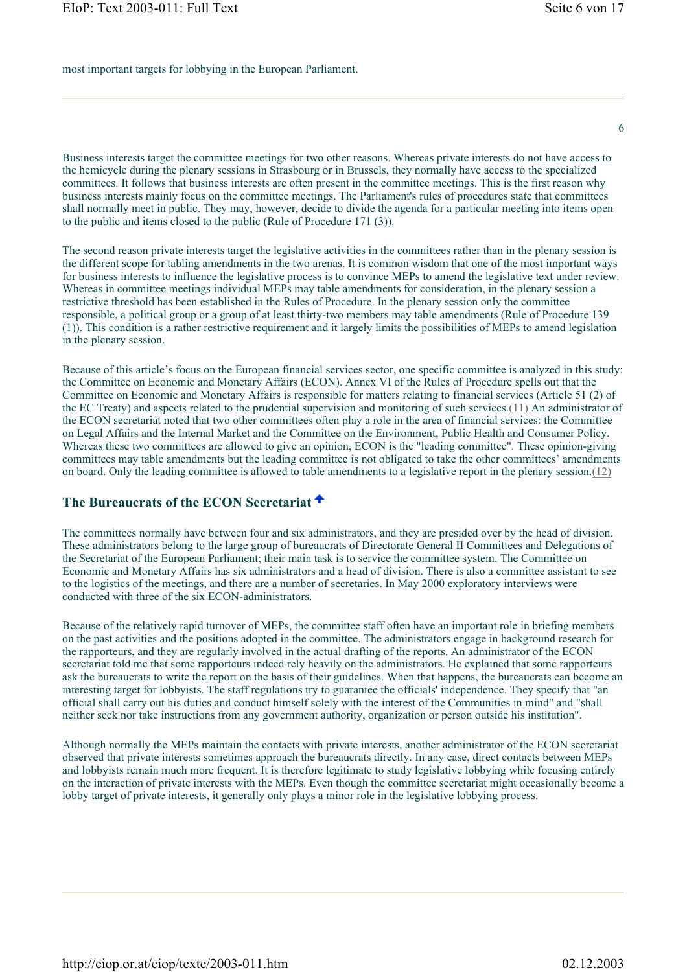most important targets for lobbying in the European Parliament.

Business interests target the committee meetings for two other reasons. Whereas private interests do not have access to the hemicycle during the plenary sessions in Strasbourg or in Brussels, they normally have access to the specialized committees. It follows that business interests are often present in the committee meetings. This is the first reason why business interests mainly focus on the committee meetings. The Parliament's rules of procedures state that committees shall normally meet in public. They may, however, decide to divide the agenda for a particular meeting into items open to the public and items closed to the public (Rule of Procedure 171 (3)).

The second reason private interests target the legislative activities in the committees rather than in the plenary session is the different scope for tabling amendments in the two arenas. It is common wisdom that one of the most important ways for business interests to influence the legislative process is to convince MEPs to amend the legislative text under review. Whereas in committee meetings individual MEPs may table amendments for consideration, in the plenary session a restrictive threshold has been established in the Rules of Procedure. In the plenary session only the committee responsible, a political group or a group of at least thirty-two members may table amendments (Rule of Procedure 139 (1)). This condition is a rather restrictive requirement and it largely limits the possibilities of MEPs to amend legislation in the plenary session.

Because of this article's focus on the European financial services sector, one specific committee is analyzed in this study: the Committee on Economic and Monetary Affairs (ECON). Annex VI of the Rules of Procedure spells out that the Committee on Economic and Monetary Affairs is responsible for matters relating to financial services (Article 51 (2) of the EC Treaty) and aspects related to the prudential supervision and monitoring of such services.(11) An administrator of the ECON secretariat noted that two other committees often play a role in the area of financial services: the Committee on Legal Affairs and the Internal Market and the Committee on the Environment, Public Health and Consumer Policy. Whereas these two committees are allowed to give an opinion, ECON is the "leading committee". These opinion-giving committees may table amendments but the leading committee is not obligated to take the other committees' amendments on board. Only the leading committee is allowed to table amendments to a legislative report in the plenary session.(12)

## **The Bureaucrats of the ECON Secretariat**

The committees normally have between four and six administrators, and they are presided over by the head of division. These administrators belong to the large group of bureaucrats of Directorate General II Committees and Delegations of the Secretariat of the European Parliament; their main task is to service the committee system. The Committee on Economic and Monetary Affairs has six administrators and a head of division. There is also a committee assistant to see to the logistics of the meetings, and there are a number of secretaries. In May 2000 exploratory interviews were conducted with three of the six ECON-administrators.

Because of the relatively rapid turnover of MEPs, the committee staff often have an important role in briefing members on the past activities and the positions adopted in the committee. The administrators engage in background research for the rapporteurs, and they are regularly involved in the actual drafting of the reports. An administrator of the ECON secretariat told me that some rapporteurs indeed rely heavily on the administrators. He explained that some rapporteurs ask the bureaucrats to write the report on the basis of their guidelines. When that happens, the bureaucrats can become an interesting target for lobbyists. The staff regulations try to guarantee the officials' independence. They specify that "an official shall carry out his duties and conduct himself solely with the interest of the Communities in mind" and "shall neither seek nor take instructions from any government authority, organization or person outside his institution".

Although normally the MEPs maintain the contacts with private interests, another administrator of the ECON secretariat observed that private interests sometimes approach the bureaucrats directly. In any case, direct contacts between MEPs and lobbyists remain much more frequent. It is therefore legitimate to study legislative lobbying while focusing entirely on the interaction of private interests with the MEPs. Even though the committee secretariat might occasionally become a lobby target of private interests, it generally only plays a minor role in the legislative lobbying process.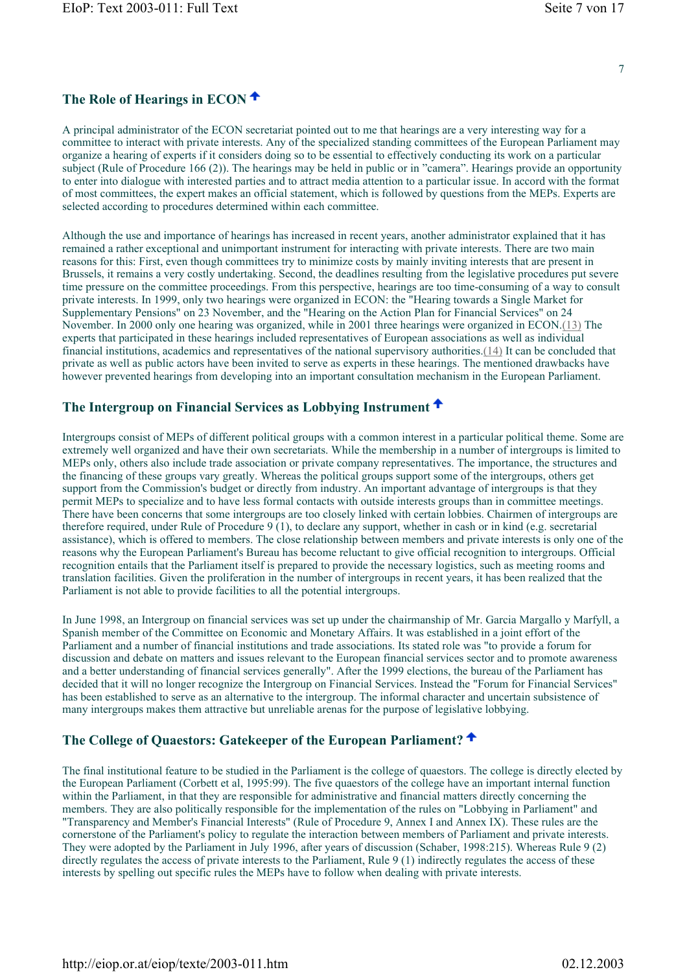## **The Role of Hearings in ECON**

A principal administrator of the ECON secretariat pointed out to me that hearings are a very interesting way for a committee to interact with private interests. Any of the specialized standing committees of the European Parliament may organize a hearing of experts if it considers doing so to be essential to effectively conducting its work on a particular subject (Rule of Procedure 166 (2)). The hearings may be held in public or in "camera". Hearings provide an opportunity to enter into dialogue with interested parties and to attract media attention to a particular issue. In accord with the format of most committees, the expert makes an official statement, which is followed by questions from the MEPs. Experts are selected according to procedures determined within each committee.

Although the use and importance of hearings has increased in recent years, another administrator explained that it has remained a rather exceptional and unimportant instrument for interacting with private interests. There are two main reasons for this: First, even though committees try to minimize costs by mainly inviting interests that are present in Brussels, it remains a very costly undertaking. Second, the deadlines resulting from the legislative procedures put severe time pressure on the committee proceedings. From this perspective, hearings are too time-consuming of a way to consult private interests. In 1999, only two hearings were organized in ECON: the "Hearing towards a Single Market for Supplementary Pensions" on 23 November, and the "Hearing on the Action Plan for Financial Services" on 24 November. In 2000 only one hearing was organized, while in 2001 three hearings were organized in ECON.(13) The experts that participated in these hearings included representatives of European associations as well as individual financial institutions, academics and representatives of the national supervisory authorities.(14) It can be concluded that private as well as public actors have been invited to serve as experts in these hearings. The mentioned drawbacks have however prevented hearings from developing into an important consultation mechanism in the European Parliament.

### **The Intergroup on Financial Services as Lobbying Instrument**

Intergroups consist of MEPs of different political groups with a common interest in a particular political theme. Some are extremely well organized and have their own secretariats. While the membership in a number of intergroups is limited to MEPs only, others also include trade association or private company representatives. The importance, the structures and the financing of these groups vary greatly. Whereas the political groups support some of the intergroups, others get support from the Commission's budget or directly from industry. An important advantage of intergroups is that they permit MEPs to specialize and to have less formal contacts with outside interests groups than in committee meetings. There have been concerns that some intergroups are too closely linked with certain lobbies. Chairmen of intergroups are therefore required, under Rule of Procedure 9 (1), to declare any support, whether in cash or in kind (e.g. secretarial assistance), which is offered to members. The close relationship between members and private interests is only one of the reasons why the European Parliament's Bureau has become reluctant to give official recognition to intergroups. Official recognition entails that the Parliament itself is prepared to provide the necessary logistics, such as meeting rooms and translation facilities. Given the proliferation in the number of intergroups in recent years, it has been realized that the Parliament is not able to provide facilities to all the potential intergroups.

In June 1998, an Intergroup on financial services was set up under the chairmanship of Mr. Garcia Margallo y Marfyll, a Spanish member of the Committee on Economic and Monetary Affairs. It was established in a joint effort of the Parliament and a number of financial institutions and trade associations. Its stated role was "to provide a forum for discussion and debate on matters and issues relevant to the European financial services sector and to promote awareness and a better understanding of financial services generally". After the 1999 elections, the bureau of the Parliament has decided that it will no longer recognize the Intergroup on Financial Services. Instead the "Forum for Financial Services" has been established to serve as an alternative to the intergroup. The informal character and uncertain subsistence of many intergroups makes them attractive but unreliable arenas for the purpose of legislative lobbying.

### **The College of Quaestors: Gatekeeper of the European Parliament?**

The final institutional feature to be studied in the Parliament is the college of quaestors. The college is directly elected by the European Parliament (Corbett et al, 1995:99). The five quaestors of the college have an important internal function within the Parliament, in that they are responsible for administrative and financial matters directly concerning the members. They are also politically responsible for the implementation of the rules on "Lobbying in Parliament" and "Transparency and Member's Financial Interests" (Rule of Procedure 9, Annex I and Annex IX). These rules are the cornerstone of the Parliament's policy to regulate the interaction between members of Parliament and private interests. They were adopted by the Parliament in July 1996, after years of discussion (Schaber, 1998:215). Whereas Rule 9 (2) directly regulates the access of private interests to the Parliament, Rule 9 (1) indirectly regulates the access of these interests by spelling out specific rules the MEPs have to follow when dealing with private interests.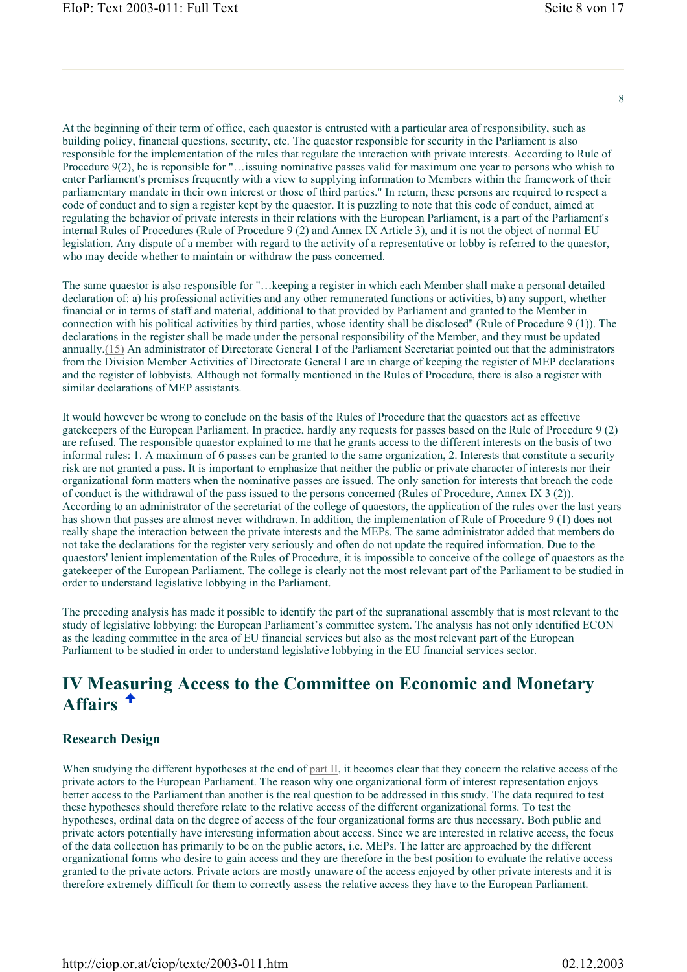At the beginning of their term of office, each quaestor is entrusted with a particular area of responsibility, such as building policy, financial questions, security, etc. The quaestor responsible for security in the Parliament is also responsible for the implementation of the rules that regulate the interaction with private interests. According to Rule of Procedure 9(2), he is reponsible for "…issuing nominative passes valid for maximum one year to persons who whish to enter Parliament's premises frequently with a view to supplying information to Members within the framework of their parliamentary mandate in their own interest or those of third parties." In return, these persons are required to respect a code of conduct and to sign a register kept by the quaestor. It is puzzling to note that this code of conduct, aimed at regulating the behavior of private interests in their relations with the European Parliament, is a part of the Parliament's internal Rules of Procedures (Rule of Procedure 9 (2) and Annex IX Article 3), and it is not the object of normal EU legislation. Any dispute of a member with regard to the activity of a representative or lobby is referred to the quaestor, who may decide whether to maintain or withdraw the pass concerned.

The same quaestor is also responsible for "…keeping a register in which each Member shall make a personal detailed declaration of: a) his professional activities and any other remunerated functions or activities, b) any support, whether financial or in terms of staff and material, additional to that provided by Parliament and granted to the Member in connection with his political activities by third parties, whose identity shall be disclosed" (Rule of Procedure 9 (1)). The declarations in the register shall be made under the personal responsibility of the Member, and they must be updated annually.(15) An administrator of Directorate General I of the Parliament Secretariat pointed out that the administrators from the Division Member Activities of Directorate General I are in charge of keeping the register of MEP declarations and the register of lobbyists. Although not formally mentioned in the Rules of Procedure, there is also a register with similar declarations of MEP assistants.

It would however be wrong to conclude on the basis of the Rules of Procedure that the quaestors act as effective gatekeepers of the European Parliament. In practice, hardly any requests for passes based on the Rule of Procedure 9 (2) are refused. The responsible quaestor explained to me that he grants access to the different interests on the basis of two informal rules: 1. A maximum of 6 passes can be granted to the same organization, 2. Interests that constitute a security risk are not granted a pass. It is important to emphasize that neither the public or private character of interests nor their organizational form matters when the nominative passes are issued. The only sanction for interests that breach the code of conduct is the withdrawal of the pass issued to the persons concerned (Rules of Procedure, Annex IX 3 (2)). According to an administrator of the secretariat of the college of quaestors, the application of the rules over the last years has shown that passes are almost never withdrawn. In addition, the implementation of Rule of Procedure 9 (1) does not really shape the interaction between the private interests and the MEPs. The same administrator added that members do not take the declarations for the register very seriously and often do not update the required information. Due to the quaestors' lenient implementation of the Rules of Procedure, it is impossible to conceive of the college of quaestors as the gatekeeper of the European Parliament. The college is clearly not the most relevant part of the Parliament to be studied in order to understand legislative lobbying in the Parliament.

The preceding analysis has made it possible to identify the part of the supranational assembly that is most relevant to the study of legislative lobbying: the European Parliament's committee system. The analysis has not only identified ECON as the leading committee in the area of EU financial services but also as the most relevant part of the European Parliament to be studied in order to understand legislative lobbying in the EU financial services sector.

## **IV Measuring Access to the Committee on Economic and Monetary Affairs**

### **Research Design**

When studying the different hypotheses at the end of part II, it becomes clear that they concern the relative access of the private actors to the European Parliament. The reason why one organizational form of interest representation enjoys better access to the Parliament than another is the real question to be addressed in this study. The data required to test these hypotheses should therefore relate to the relative access of the different organizational forms. To test the hypotheses, ordinal data on the degree of access of the four organizational forms are thus necessary. Both public and private actors potentially have interesting information about access. Since we are interested in relative access, the focus of the data collection has primarily to be on the public actors, i.e. MEPs. The latter are approached by the different organizational forms who desire to gain access and they are therefore in the best position to evaluate the relative access granted to the private actors. Private actors are mostly unaware of the access enjoyed by other private interests and it is therefore extremely difficult for them to correctly assess the relative access they have to the European Parliament.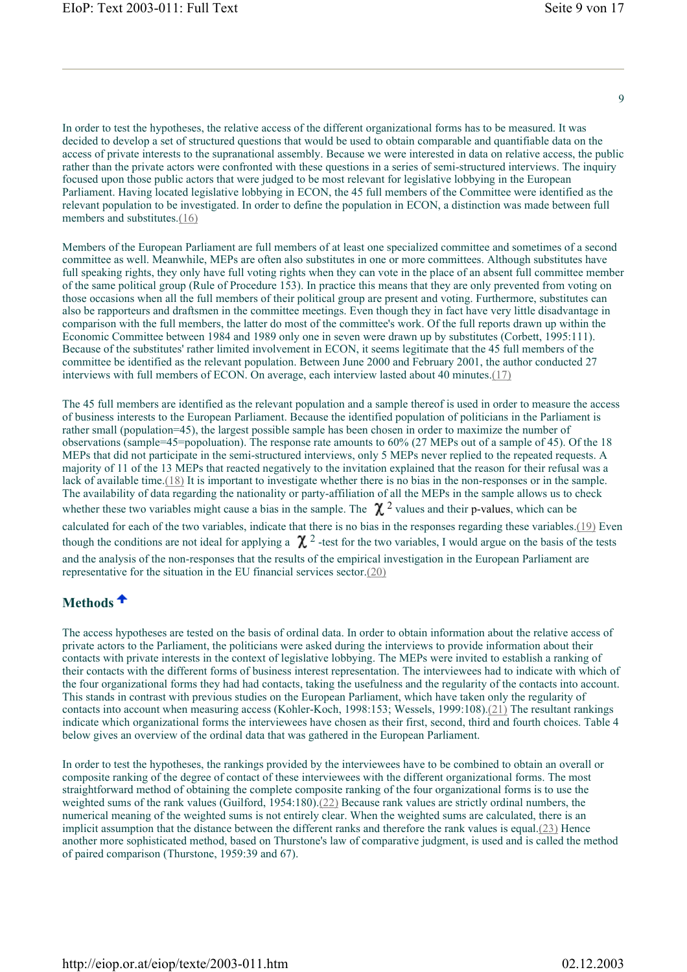$\alpha$ 

In order to test the hypotheses, the relative access of the different organizational forms has to be measured. It was decided to develop a set of structured questions that would be used to obtain comparable and quantifiable data on the access of private interests to the supranational assembly. Because we were interested in data on relative access, the public rather than the private actors were confronted with these questions in a series of semi-structured interviews. The inquiry focused upon those public actors that were judged to be most relevant for legislative lobbying in the European Parliament. Having located legislative lobbying in ECON, the 45 full members of the Committee were identified as the relevant population to be investigated. In order to define the population in ECON, a distinction was made between full members and substitutes.(16)

Members of the European Parliament are full members of at least one specialized committee and sometimes of a second committee as well. Meanwhile, MEPs are often also substitutes in one or more committees. Although substitutes have full speaking rights, they only have full voting rights when they can vote in the place of an absent full committee member of the same political group (Rule of Procedure 153). In practice this means that they are only prevented from voting on those occasions when all the full members of their political group are present and voting. Furthermore, substitutes can also be rapporteurs and draftsmen in the committee meetings. Even though they in fact have very little disadvantage in comparison with the full members, the latter do most of the committee's work. Of the full reports drawn up within the Economic Committee between 1984 and 1989 only one in seven were drawn up by substitutes (Corbett, 1995:111). Because of the substitutes' rather limited involvement in ECON, it seems legitimate that the 45 full members of the committee be identified as the relevant population. Between June 2000 and February 2001, the author conducted 27 interviews with full members of ECON. On average, each interview lasted about 40 minutes.(17)

The 45 full members are identified as the relevant population and a sample thereof is used in order to measure the access of business interests to the European Parliament. Because the identified population of politicians in the Parliament is rather small (population=45), the largest possible sample has been chosen in order to maximize the number of observations (sample=45=popoluation). The response rate amounts to 60% (27 MEPs out of a sample of 45). Of the 18 MEPs that did not participate in the semi-structured interviews, only 5 MEPs never replied to the repeated requests. A majority of 11 of the 13 MEPs that reacted negatively to the invitation explained that the reason for their refusal was a lack of available time.(18) It is important to investigate whether there is no bias in the non-responses or in the sample. The availability of data regarding the nationality or party-affiliation of all the MEPs in the sample allows us to check whether these two variables might cause a bias in the sample. The  $\chi^2$  values and their p-values, which can be calculated for each of the two variables, indicate that there is no bias in the responses regarding these variables.(19) Even though the conditions are not ideal for applying a  $\chi^2$ -test for the two variables, I would argue on the basis of the tests and the analysis of the non-responses that the results of the empirical investigation in the European Parliament are representative for the situation in the EU financial services sector.(20)

## **Methods**

The access hypotheses are tested on the basis of ordinal data. In order to obtain information about the relative access of private actors to the Parliament, the politicians were asked during the interviews to provide information about their contacts with private interests in the context of legislative lobbying. The MEPs were invited to establish a ranking of their contacts with the different forms of business interest representation. The interviewees had to indicate with which of the four organizational forms they had had contacts, taking the usefulness and the regularity of the contacts into account. This stands in contrast with previous studies on the European Parliament, which have taken only the regularity of contacts into account when measuring access (Kohler-Koch, 1998:153; Wessels, 1999:108).(21) The resultant rankings indicate which organizational forms the interviewees have chosen as their first, second, third and fourth choices. Table 4 below gives an overview of the ordinal data that was gathered in the European Parliament.

In order to test the hypotheses, the rankings provided by the interviewees have to be combined to obtain an overall or composite ranking of the degree of contact of these interviewees with the different organizational forms. The most straightforward method of obtaining the complete composite ranking of the four organizational forms is to use the weighted sums of the rank values (Guilford, 1954:180).(22) Because rank values are strictly ordinal numbers, the numerical meaning of the weighted sums is not entirely clear. When the weighted sums are calculated, there is an implicit assumption that the distance between the different ranks and therefore the rank values is equal.(23) Hence another more sophisticated method, based on Thurstone's law of comparative judgment, is used and is called the method of paired comparison (Thurstone, 1959:39 and 67).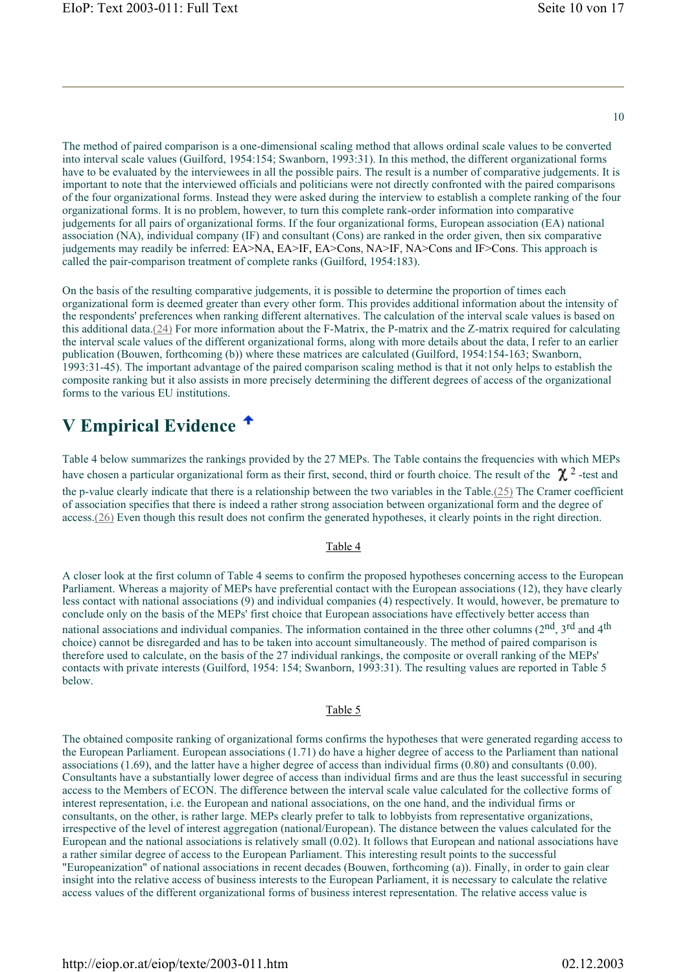The method of paired comparison is a one-dimensional scaling method that allows ordinal scale values to be converted into interval scale values (Guilford, 1954:154; Swanborn, 1993:31). In this method, the different organizational forms have to be evaluated by the interviewees in all the possible pairs. The result is a number of comparative judgements. It is important to note that the interviewed officials and politicians were not directly confronted with the paired comparisons of the four organizational forms. Instead they were asked during the interview to establish a complete ranking of the four organizational forms. It is no problem, however, to turn this complete rank-order information into comparative judgements for all pairs of organizational forms. If the four organizational forms, European association (EA) national association (NA), individual company (IF) and consultant (Cons) are ranked in the order given, then six comparative judgements may readily be inferred: EA>NA, EA>IF, EA>Cons, NA>IF, NA>Cons and IF>Cons. This approach is called the pair-comparison treatment of complete ranks (Guilford, 1954:183).

On the basis of the resulting comparative judgements, it is possible to determine the proportion of times each organizational form is deemed greater than every other form. This provides additional information about the intensity of the respondents' preferences when ranking different alternatives. The calculation of the interval scale values is based on this additional data.(24) For more information about the F-Matrix, the P-matrix and the Z-matrix required for calculating the interval scale values of the different organizational forms, along with more details about the data, I refer to an earlier publication (Bouwen, forthcoming (b)) where these matrices are calculated (Guilford, 1954:154-163; Swanborn, 1993:31-45). The important advantage of the paired comparison scaling method is that it not only helps to establish the composite ranking but it also assists in more precisely determining the different degrees of access of the organizational forms to the various EU institutions.

## **V Empirical Evidence**

Table 4 below summarizes the rankings provided by the 27 MEPs. The Table contains the frequencies with which MEPs have chosen a particular organizational form as their first, second, third or fourth choice. The result of the  $\chi^2$ -test and the p-value clearly indicate that there is a relationship between the two variables in the Table.(25) The Cramer coefficient of association specifies that there is indeed a rather strong association between organizational form and the degree of access.(26) Even though this result does not confirm the generated hypotheses, it clearly points in the right direction.

#### Table 4

A closer look at the first column of Table 4 seems to confirm the proposed hypotheses concerning access to the European Parliament. Whereas a majority of MEPs have preferential contact with the European associations (12), they have clearly less contact with national associations (9) and individual companies (4) respectively. It would, however, be premature to conclude only on the basis of the MEPs' first choice that European associations have effectively better access than national associations and individual companies. The information contained in the three other columns (2<sup>nd</sup>, 3<sup>rd</sup> and 4<sup>th</sup> choice) cannot be disregarded and has to be taken into account simultaneously. The method of paired comparison is therefore used to calculate, on the basis of the 27 individual rankings, the composite or overall ranking of the MEPs' contacts with private interests (Guilford, 1954: 154; Swanborn, 1993:31). The resulting values are reported in Table 5 below.

#### Table 5

The obtained composite ranking of organizational forms confirms the hypotheses that were generated regarding access to the European Parliament. European associations (1.71) do have a higher degree of access to the Parliament than national associations (1.69), and the latter have a higher degree of access than individual firms (0.80) and consultants (0.00). Consultants have a substantially lower degree of access than individual firms and are thus the least successful in securing access to the Members of ECON. The difference between the interval scale value calculated for the collective forms of interest representation, i.e. the European and national associations, on the one hand, and the individual firms or consultants, on the other, is rather large. MEPs clearly prefer to talk to lobbyists from representative organizations, irrespective of the level of interest aggregation (national/European). The distance between the values calculated for the European and the national associations is relatively small (0.02). It follows that European and national associations have a rather similar degree of access to the European Parliament. This interesting result points to the successful "Europeanization" of national associations in recent decades (Bouwen, forthcoming (a)). Finally, in order to gain clear insight into the relative access of business interests to the European Parliament, it is necessary to calculate the relative access values of the different organizational forms of business interest representation. The relative access value is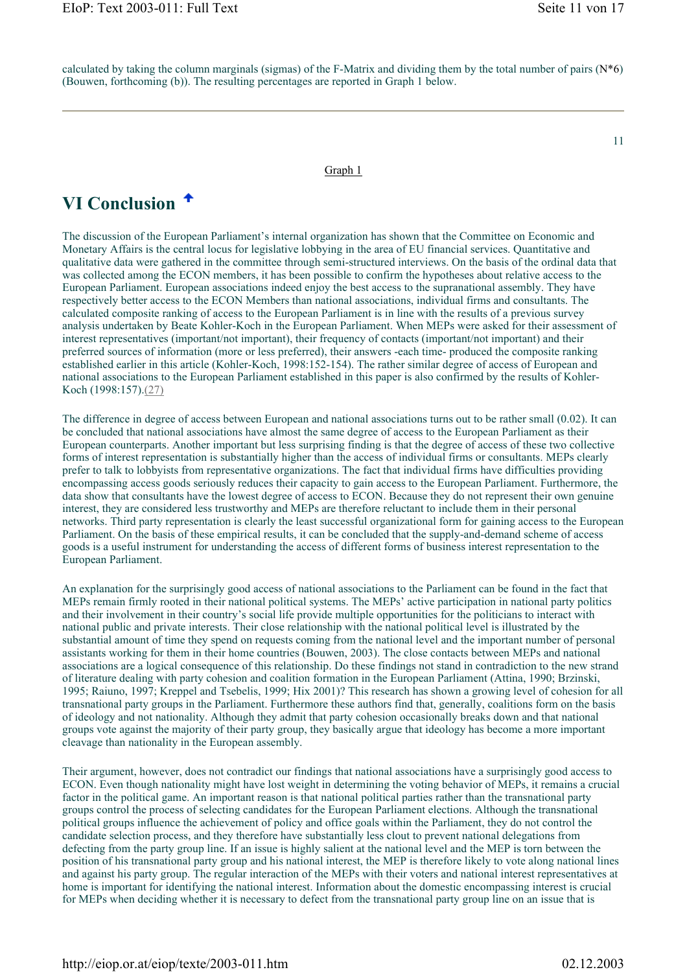calculated by taking the column marginals (sigmas) of the F-Matrix and dividing them by the total number of pairs  $(N^*6)$ (Bouwen, forthcoming (b)). The resulting percentages are reported in Graph 1 below.

#### Graph 1

## **VI Conclusion**

The discussion of the European Parliament's internal organization has shown that the Committee on Economic and Monetary Affairs is the central locus for legislative lobbying in the area of EU financial services. Quantitative and qualitative data were gathered in the committee through semi-structured interviews. On the basis of the ordinal data that was collected among the ECON members, it has been possible to confirm the hypotheses about relative access to the European Parliament. European associations indeed enjoy the best access to the supranational assembly. They have respectively better access to the ECON Members than national associations, individual firms and consultants. The calculated composite ranking of access to the European Parliament is in line with the results of a previous survey analysis undertaken by Beate Kohler-Koch in the European Parliament. When MEPs were asked for their assessment of interest representatives (important/not important), their frequency of contacts (important/not important) and their preferred sources of information (more or less preferred), their answers -each time- produced the composite ranking established earlier in this article (Kohler-Koch, 1998:152-154). The rather similar degree of access of European and national associations to the European Parliament established in this paper is also confirmed by the results of Kohler-Koch (1998:157).(27)

The difference in degree of access between European and national associations turns out to be rather small (0.02). It can be concluded that national associations have almost the same degree of access to the European Parliament as their European counterparts. Another important but less surprising finding is that the degree of access of these two collective forms of interest representation is substantially higher than the access of individual firms or consultants. MEPs clearly prefer to talk to lobbyists from representative organizations. The fact that individual firms have difficulties providing encompassing access goods seriously reduces their capacity to gain access to the European Parliament. Furthermore, the data show that consultants have the lowest degree of access to ECON. Because they do not represent their own genuine interest, they are considered less trustworthy and MEPs are therefore reluctant to include them in their personal networks. Third party representation is clearly the least successful organizational form for gaining access to the European Parliament. On the basis of these empirical results, it can be concluded that the supply-and-demand scheme of access goods is a useful instrument for understanding the access of different forms of business interest representation to the European Parliament.

An explanation for the surprisingly good access of national associations to the Parliament can be found in the fact that MEPs remain firmly rooted in their national political systems. The MEPs' active participation in national party politics and their involvement in their country's social life provide multiple opportunities for the politicians to interact with national public and private interests. Their close relationship with the national political level is illustrated by the substantial amount of time they spend on requests coming from the national level and the important number of personal assistants working for them in their home countries (Bouwen, 2003). The close contacts between MEPs and national associations are a logical consequence of this relationship. Do these findings not stand in contradiction to the new strand of literature dealing with party cohesion and coalition formation in the European Parliament (Attina, 1990; Brzinski, 1995; Raiuno, 1997; Kreppel and Tsebelis, 1999; Hix 2001)? This research has shown a growing level of cohesion for all transnational party groups in the Parliament. Furthermore these authors find that, generally, coalitions form on the basis of ideology and not nationality. Although they admit that party cohesion occasionally breaks down and that national groups vote against the majority of their party group, they basically argue that ideology has become a more important cleavage than nationality in the European assembly.

Their argument, however, does not contradict our findings that national associations have a surprisingly good access to ECON. Even though nationality might have lost weight in determining the voting behavior of MEPs, it remains a crucial factor in the political game. An important reason is that national political parties rather than the transnational party groups control the process of selecting candidates for the European Parliament elections. Although the transnational political groups influence the achievement of policy and office goals within the Parliament, they do not control the candidate selection process, and they therefore have substantially less clout to prevent national delegations from defecting from the party group line. If an issue is highly salient at the national level and the MEP is torn between the position of his transnational party group and his national interest, the MEP is therefore likely to vote along national lines and against his party group. The regular interaction of the MEPs with their voters and national interest representatives at home is important for identifying the national interest. Information about the domestic encompassing interest is crucial for MEPs when deciding whether it is necessary to defect from the transnational party group line on an issue that is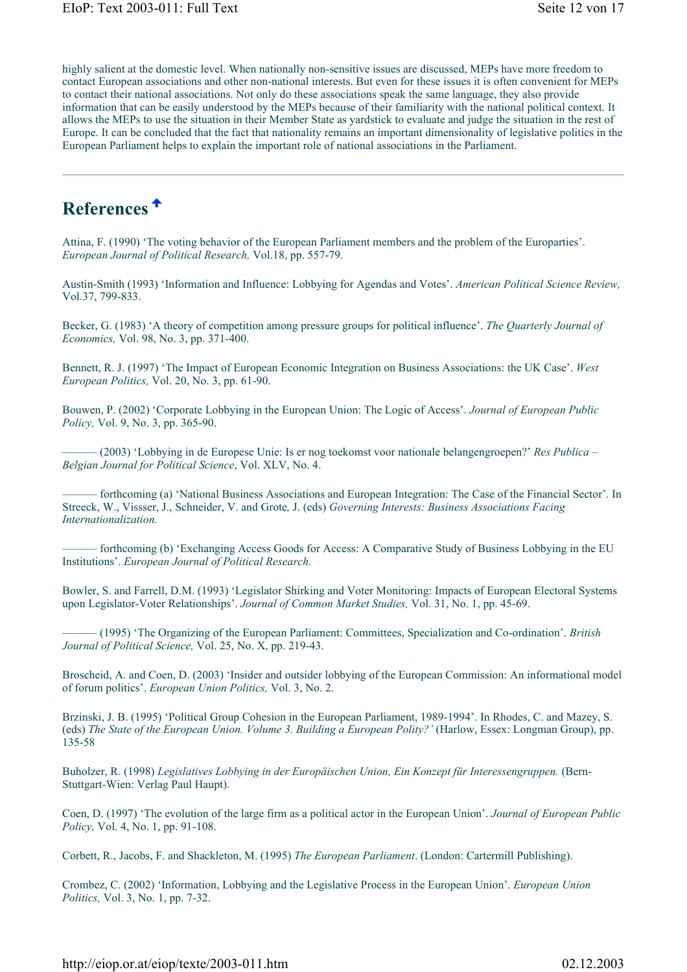highly salient at the domestic level. When nationally non-sensitive issues are discussed, MEPs have more freedom to contact European associations and other non-national interests. But even for these issues it is often convenient for MEPs to contact their national associations. Not only do these associations speak the same language, they also provide information that can be easily understood by the MEPs because of their familiarity with the national political context. It allows the MEPs to use the situation in their Member State as yardstick to evaluate and judge the situation in the rest of Europe. It can be concluded that the fact that nationality remains an important dimensionality of legislative politics in the European Parliament helps to explain the important role of national associations in the Parliament.

## **References**

Attina, F. (1990) 'The voting behavior of the European Parliament members and the problem of the Europarties'. *European Journal of Political Research,* Vol.18, pp. 557-79.

Austin-Smith (1993) 'Information and Influence: Lobbying for Agendas and Votes'. *American Political Science Review,* Vol.37, 799-833.

Becker, G. (1983) 'A theory of competition among pressure groups for political influence'. *The Quarterly Journal of Economics,* Vol. 98, No. 3, pp. 371-400.

Bennett, R. J. (1997) 'The Impact of European Economic Integration on Business Associations: the UK Case'. *West European Politics,* Vol. 20, No. 3, pp. 61-90.

Bouwen, P. (2002) 'Corporate Lobbying in the European Union: The Logic of Access'. *Journal of European Public Policy,* Vol. 9, No. 3, pp. 365-90.

——— (2003) 'Lobbying in de Europese Unie: Is er nog toekomst voor nationale belangengroepen?' *Res Publica – Belgian Journal for Political Science*, Vol. XLV, No. 4.

——— forthcoming (a) 'National Business Associations and European Integration: The Case of the Financial Sector'. In Streeck, W., Vissser, J., Schneider, V. and Grote*,* J. (eds) *Governing Interests: Business Associations Facing Internationalization.* 

forthcoming (b) 'Exchanging Access Goods for Access: A Comparative Study of Business Lobbying in the EU Institutions'. *European Journal of Political Research.*

Bowler, S. and Farrell, D.M. (1993) 'Legislator Shirking and Voter Monitoring: Impacts of European Electoral Systems upon Legislator-Voter Relationships'. *Journal of Common Market Studies,* Vol. 31, No. 1, pp. 45-69.

——— (1995) 'The Organizing of the European Parliament: Committees, Specialization and Co-ordination'. *British Journal of Political Science,* Vol. 25, No. X, pp. 219-43.

Broscheid, A. and Coen, D. (2003) 'Insider and outsider lobbying of the European Commission: An informational model of forum politics'. *European Union Politics,* Vol. 3, No. 2.

Brzinski, J. B. (1995) 'Political Group Cohesion in the European Parliament, 1989-1994'. In Rhodes, C. and Mazey, S. (eds) *The State of the European Union. Volume 3. Building a European Polity?'* (Harlow, Essex: Longman Group), pp. 135-58

Buholzer, R. (1998) *Legislatives Lobbying in der Europäischen Union, Ein Konzept für Interessengruppen.* (Bern-Stuttgart-Wien: Verlag Paul Haupt).

Coen, D. (1997) 'The evolution of the large firm as a political actor in the European Union'. *Journal of European Public Policy,* Vol. 4, No. 1, pp. 91-108.

Corbett, R., Jacobs, F. and Shackleton, M. (1995) *The European Parliament*. (London: Cartermill Publishing).

Crombez, C. (2002) 'Information, Lobbying and the Legislative Process in the European Union'. *European Union Politics,* Vol. 3, No. 1, pp. 7-32.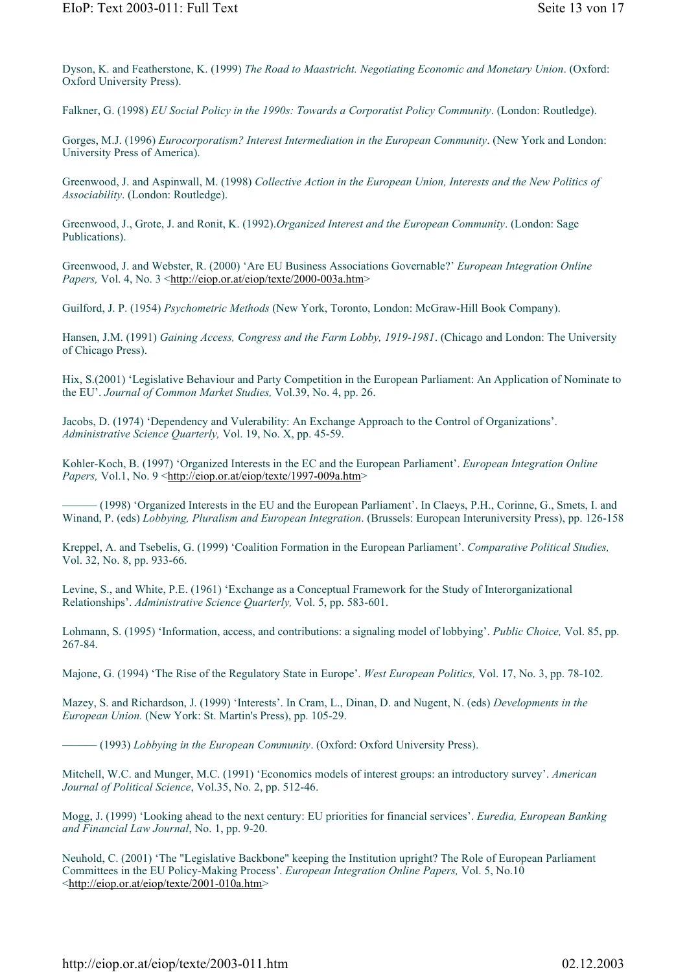Dyson, K. and Featherstone, K. (1999) *The Road to Maastricht. Negotiating Economic and Monetary Union*. (Oxford: Oxford University Press).

Falkner, G. (1998) *EU Social Policy in the 1990s: Towards a Corporatist Policy Community*. (London: Routledge).

Gorges, M.J. (1996) *Eurocorporatism? Interest Intermediation in the European Community*. (New York and London: University Press of America).

Greenwood, J. and Aspinwall, M. (1998) *Collective Action in the European Union, Interests and the New Politics of Associability*. (London: Routledge).

Greenwood, J., Grote, J. and Ronit, K. (1992).*Organized Interest and the European Community*. (London: Sage Publications).

Greenwood, J. and Webster, R. (2000) 'Are EU Business Associations Governable?' *European Integration Online Papers,* Vol. 4, No. 3 <http://eiop.or.at/eiop/texte/2000-003a.htm>

Guilford, J. P. (1954) *Psychometric Methods* (New York, Toronto, London: McGraw-Hill Book Company).

Hansen, J.M. (1991) *Gaining Access, Congress and the Farm Lobby, 1919-1981*. (Chicago and London: The University of Chicago Press).

Hix, S.(2001) 'Legislative Behaviour and Party Competition in the European Parliament: An Application of Nominate to the EU'. *Journal of Common Market Studies,* Vol.39, No. 4, pp. 26.

Jacobs, D. (1974) 'Dependency and Vulerability: An Exchange Approach to the Control of Organizations'. *Administrative Science Quarterly,* Vol. 19, No. X, pp. 45-59.

Kohler-Koch, B. (1997) 'Organized Interests in the EC and the European Parliament'. *European Integration Online Papers, Vol.1, No. 9* <http://eiop.or.at/eiop/texte/1997-009a.htm>

——— (1998) 'Organized Interests in the EU and the European Parliament'. In Claeys, P.H., Corinne, G., Smets, I. and Winand, P. (eds) *Lobbying, Pluralism and European Integration*. (Brussels: European Interuniversity Press), pp. 126-158

Kreppel, A. and Tsebelis, G. (1999) 'Coalition Formation in the European Parliament'. *Comparative Political Studies,* Vol. 32, No. 8, pp. 933-66.

Levine, S., and White, P.E. (1961) 'Exchange as a Conceptual Framework for the Study of Interorganizational Relationships'. *Administrative Science Quarterly,* Vol. 5, pp. 583-601.

Lohmann, S. (1995) 'Information, access, and contributions: a signaling model of lobbying'. *Public Choice,* Vol. 85, pp. 267-84.

Majone, G. (1994) 'The Rise of the Regulatory State in Europe'. *West European Politics,* Vol. 17, No. 3, pp. 78-102.

Mazey, S. and Richardson, J. (1999) 'Interests'. In Cram, L., Dinan, D. and Nugent, N. (eds) *Developments in the European Union.* (New York: St. Martin's Press), pp. 105-29.

——— (1993) *Lobbying in the European Community*. (Oxford: Oxford University Press).

Mitchell, W.C. and Munger, M.C. (1991) 'Economics models of interest groups: an introductory survey'. *American Journal of Political Science*, Vol.35, No. 2, pp. 512-46.

Mogg, J. (1999) 'Looking ahead to the next century: EU priorities for financial services'. *Euredia, European Banking and Financial Law Journal*, No. 1, pp. 9-20.

Neuhold, C. (2001) 'The "Legislative Backbone" keeping the Institution upright? The Role of European Parliament Committees in the EU Policy-Making Process'. *European Integration Online Papers,* Vol. 5, No.10 <http://eiop.or.at/eiop/texte/2001-010a.htm>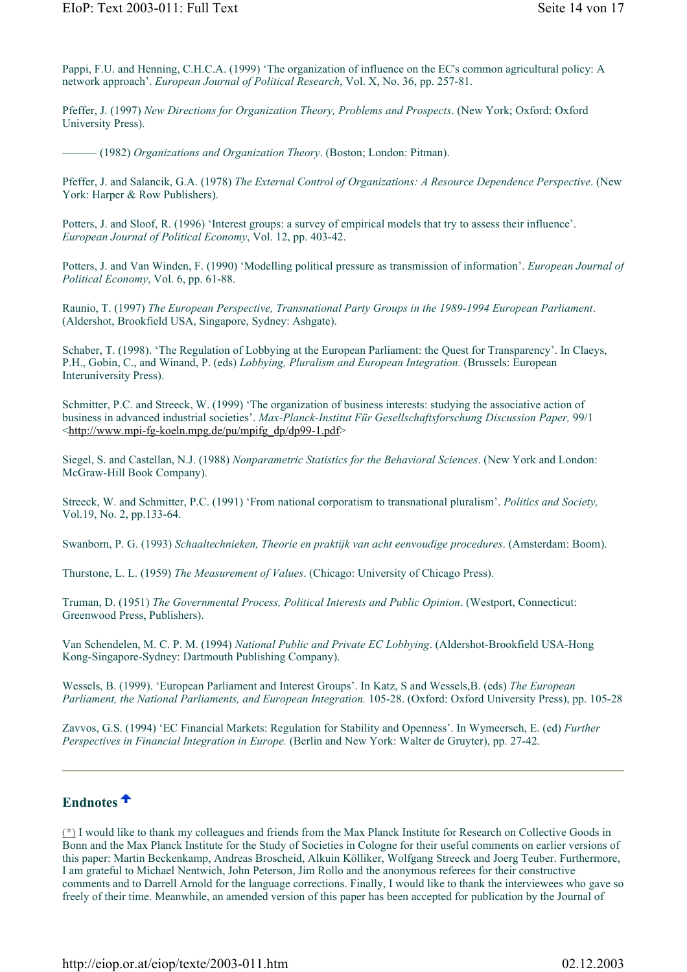Pappi, F.U. and Henning, C.H.C.A. (1999) 'The organization of influence on the EC's common agricultural policy: A network approach'. *European Journal of Political Research*, Vol. X, No. 36, pp. 257-81.

Pfeffer, J. (1997) *New Directions for Organization Theory, Problems and Prospects*. (New York; Oxford: Oxford University Press).

——— (1982) *Organizations and Organization Theory*. (Boston; London: Pitman).

Pfeffer, J. and Salancik, G.A. (1978) *The External Control of Organizations: A Resource Dependence Perspective*. (New York: Harper & Row Publishers).

Potters, J. and Sloof, R. (1996) 'Interest groups: a survey of empirical models that try to assess their influence'. *European Journal of Political Economy*, Vol. 12, pp. 403-42.

Potters, J. and Van Winden, F. (1990) 'Modelling political pressure as transmission of information'. *European Journal of Political Economy*, Vol. 6, pp. 61-88.

Raunio, T. (1997) *The European Perspective, Transnational Party Groups in the 1989-1994 European Parliament*. (Aldershot, Brookfield USA, Singapore, Sydney: Ashgate).

Schaber, T. (1998). 'The Regulation of Lobbying at the European Parliament: the Quest for Transparency'. In Claeys, P.H., Gobin, C., and Winand, P. (eds) *Lobbying, Pluralism and European Integration.* (Brussels: European Interuniversity Press).

Schmitter, P.C. and Streeck, W. (1999) 'The organization of business interests: studying the associative action of business in advanced industrial societies'. *Max-Planck-Institut Für Gesellschaftsforschung Discussion Paper,* 99/1 <http://www.mpi-fg-koeln.mpg.de/pu/mpifg\_dp/dp99-1.pdf>

Siegel, S. and Castellan, N.J. (1988) *Nonparametric Statistics for the Behavioral Sciences*. (New York and London: McGraw-Hill Book Company).

Streeck, W. and Schmitter, P.C. (1991) 'From national corporatism to transnational pluralism'. *Politics and Society,*  Vol.19, No. 2, pp.133-64.

Swanborn, P. G. (1993) *Schaaltechnieken, Theorie en praktijk van acht eenvoudige procedures*. (Amsterdam: Boom).

Thurstone, L. L. (1959) *The Measurement of Values*. (Chicago: University of Chicago Press).

Truman, D. (1951) *The Governmental Process, Political Interests and Public Opinion*. (Westport, Connecticut: Greenwood Press, Publishers).

Van Schendelen, M. C. P. M. (1994) *National Public and Private EC Lobbying*. (Aldershot-Brookfield USA-Hong Kong-Singapore-Sydney: Dartmouth Publishing Company).

Wessels, B. (1999). 'European Parliament and Interest Groups'. In Katz, S and Wessels,B. (eds) *The European Parliament, the National Parliaments, and European Integration.* 105-28. (Oxford: Oxford University Press), pp. 105-28

Zavvos, G.S. (1994) 'EC Financial Markets: Regulation for Stability and Openness'. In Wymeersch, E. (ed) *Further Perspectives in Financial Integration in Europe.* (Berlin and New York: Walter de Gruyter), pp. 27-42.

## **Endnotes**

(\*) I would like to thank my colleagues and friends from the Max Planck Institute for Research on Collective Goods in Bonn and the Max Planck Institute for the Study of Societies in Cologne for their useful comments on earlier versions of this paper: Martin Beckenkamp, Andreas Broscheid, Alkuin Kölliker, Wolfgang Streeck and Joerg Teuber. Furthermore, I am grateful to Michael Nentwich, John Peterson, Jim Rollo and the anonymous referees for their constructive comments and to Darrell Arnold for the language corrections. Finally, I would like to thank the interviewees who gave so freely of their time. Meanwhile, an amended version of this paper has been accepted for publication by the Journal of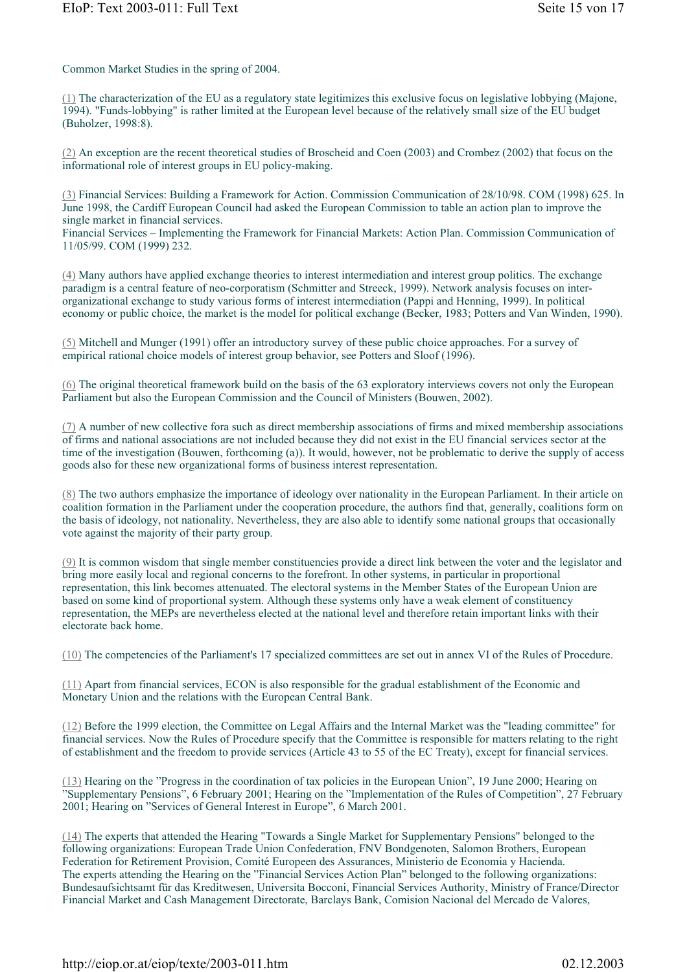Common Market Studies in the spring of 2004.

(1) The characterization of the EU as a regulatory state legitimizes this exclusive focus on legislative lobbying (Majone, 1994). "Funds-lobbying" is rather limited at the European level because of the relatively small size of the EU budget (Buholzer, 1998:8).

(2) An exception are the recent theoretical studies of Broscheid and Coen (2003) and Crombez (2002) that focus on the informational role of interest groups in EU policy-making.

(3) Financial Services: Building a Framework for Action. Commission Communication of 28/10/98. COM (1998) 625. In June 1998, the Cardiff European Council had asked the European Commission to table an action plan to improve the single market in financial services.

Financial Services – Implementing the Framework for Financial Markets: Action Plan. Commission Communication of 11/05/99. COM (1999) 232.

(4) Many authors have applied exchange theories to interest intermediation and interest group politics. The exchange paradigm is a central feature of neo-corporatism (Schmitter and Streeck, 1999). Network analysis focuses on interorganizational exchange to study various forms of interest intermediation (Pappi and Henning, 1999). In political economy or public choice, the market is the model for political exchange (Becker, 1983; Potters and Van Winden, 1990).

(5) Mitchell and Munger (1991) offer an introductory survey of these public choice approaches. For a survey of empirical rational choice models of interest group behavior, see Potters and Sloof (1996).

(6) The original theoretical framework build on the basis of the 63 exploratory interviews covers not only the European Parliament but also the European Commission and the Council of Ministers (Bouwen, 2002).

(7) A number of new collective fora such as direct membership associations of firms and mixed membership associations of firms and national associations are not included because they did not exist in the EU financial services sector at the time of the investigation (Bouwen, forthcoming (a)). It would, however, not be problematic to derive the supply of access goods also for these new organizational forms of business interest representation.

(8) The two authors emphasize the importance of ideology over nationality in the European Parliament. In their article on coalition formation in the Parliament under the cooperation procedure, the authors find that, generally, coalitions form on the basis of ideology, not nationality. Nevertheless, they are also able to identify some national groups that occasionally vote against the majority of their party group.

(9) It is common wisdom that single member constituencies provide a direct link between the voter and the legislator and bring more easily local and regional concerns to the forefront. In other systems, in particular in proportional representation, this link becomes attenuated. The electoral systems in the Member States of the European Union are based on some kind of proportional system. Although these systems only have a weak element of constituency representation, the MEPs are nevertheless elected at the national level and therefore retain important links with their electorate back home.

(10) The competencies of the Parliament's 17 specialized committees are set out in annex VI of the Rules of Procedure.

(11) Apart from financial services, ECON is also responsible for the gradual establishment of the Economic and Monetary Union and the relations with the European Central Bank.

(12) Before the 1999 election, the Committee on Legal Affairs and the Internal Market was the "leading committee" for financial services. Now the Rules of Procedure specify that the Committee is responsible for matters relating to the right of establishment and the freedom to provide services (Article 43 to 55 of the EC Treaty), except for financial services.

(13) Hearing on the "Progress in the coordination of tax policies in the European Union", 19 June 2000; Hearing on "Supplementary Pensions", 6 February 2001; Hearing on the "Implementation of the Rules of Competition", 27 February 2001; Hearing on "Services of General Interest in Europe", 6 March 2001.

(14) The experts that attended the Hearing "Towards a Single Market for Supplementary Pensions" belonged to the following organizations: European Trade Union Confederation, FNV Bondgenoten, Salomon Brothers, European Federation for Retirement Provision, Comité Europeen des Assurances, Ministerio de Economia y Hacienda. The experts attending the Hearing on the "Financial Services Action Plan" belonged to the following organizations: Bundesaufsichtsamt für das Kreditwesen, Universita Bocconi, Financial Services Authority, Ministry of France/Director Financial Market and Cash Management Directorate, Barclays Bank, Comision Nacional del Mercado de Valores,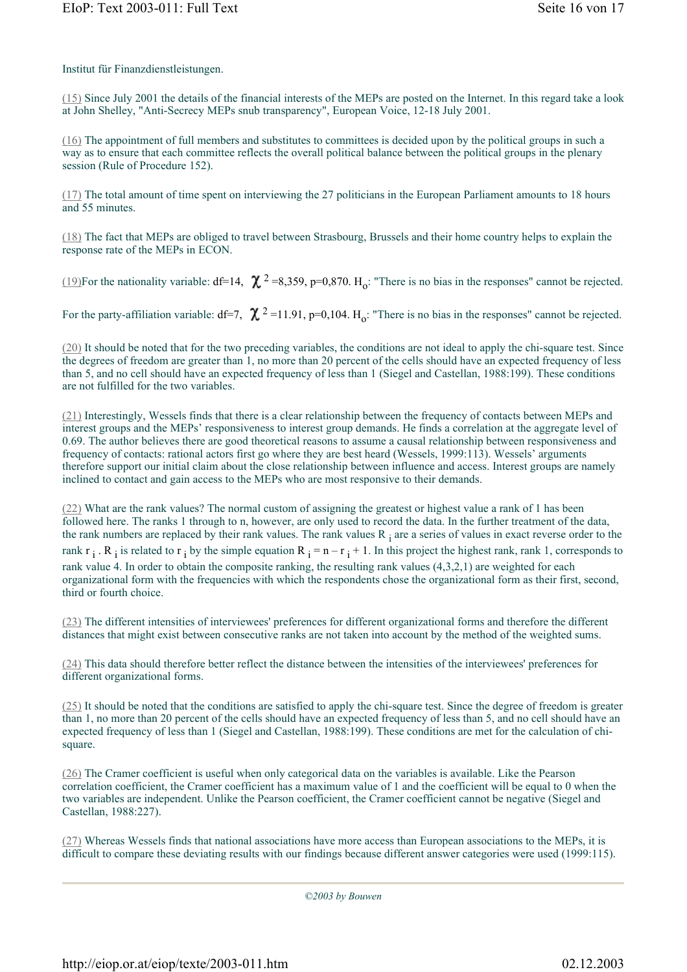Institut für Finanzdienstleistungen.

(15) Since July 2001 the details of the financial interests of the MEPs are posted on the Internet. In this regard take a look at John Shelley, "Anti-Secrecy MEPs snub transparency", European Voice, 12-18 July 2001.

(16) The appointment of full members and substitutes to committees is decided upon by the political groups in such a way as to ensure that each committee reflects the overall political balance between the political groups in the plenary session (Rule of Procedure 152).

(17) The total amount of time spent on interviewing the 27 politicians in the European Parliament amounts to 18 hours and 55 minutes.

(18) The fact that MEPs are obliged to travel between Strasbourg, Brussels and their home country helps to explain the response rate of the MEPs in ECON.

(19)For the nationality variable:  $df=14$ ,  $\chi^2=8,359$ ,  $p=0,870$ . H<sub>o</sub>: "There is no bias in the responses" cannot be rejected.

For the party-affiliation variable: df=7,  $\chi$ <sup>2</sup>=11.91, p=0,104. H<sub>o</sub>: "There is no bias in the responses" cannot be rejected.

(20) It should be noted that for the two preceding variables, the conditions are not ideal to apply the chi-square test. Since the degrees of freedom are greater than 1, no more than 20 percent of the cells should have an expected frequency of less than 5, and no cell should have an expected frequency of less than 1 (Siegel and Castellan, 1988:199). These conditions are not fulfilled for the two variables.

(21) Interestingly, Wessels finds that there is a clear relationship between the frequency of contacts between MEPs and interest groups and the MEPs' responsiveness to interest group demands. He finds a correlation at the aggregate level of 0.69. The author believes there are good theoretical reasons to assume a causal relationship between responsiveness and frequency of contacts: rational actors first go where they are best heard (Wessels, 1999:113). Wessels' arguments therefore support our initial claim about the close relationship between influence and access. Interest groups are namely inclined to contact and gain access to the MEPs who are most responsive to their demands.

(22) What are the rank values? The normal custom of assigning the greatest or highest value a rank of 1 has been followed here. The ranks 1 through to n, however, are only used to record the data. In the further treatment of the data, the rank numbers are replaced by their rank values. The rank values  $R_i$  are a series of values in exact reverse order to the rank  $r_i$ . R<sub>i</sub> is related to  $r_i$  by the simple equation  $R_i = n - r_i + 1$ . In this project the highest rank, rank 1, corresponds to rank value 4. In order to obtain the composite ranking, the resulting rank values (4,3,2,1) are weighted for each organizational form with the frequencies with which the respondents chose the organizational form as their first, second, third or fourth choice.

(23) The different intensities of interviewees' preferences for different organizational forms and therefore the different distances that might exist between consecutive ranks are not taken into account by the method of the weighted sums.

(24) This data should therefore better reflect the distance between the intensities of the interviewees' preferences for different organizational forms.

(25) It should be noted that the conditions are satisfied to apply the chi-square test. Since the degree of freedom is greater than 1, no more than 20 percent of the cells should have an expected frequency of less than 5, and no cell should have an expected frequency of less than 1 (Siegel and Castellan, 1988:199). These conditions are met for the calculation of chisquare.

(26) The Cramer coefficient is useful when only categorical data on the variables is available. Like the Pearson correlation coefficient, the Cramer coefficient has a maximum value of 1 and the coefficient will be equal to 0 when the two variables are independent. Unlike the Pearson coefficient, the Cramer coefficient cannot be negative (Siegel and Castellan, 1988:227).

(27) Whereas Wessels finds that national associations have more access than European associations to the MEPs, it is difficult to compare these deviating results with our findings because different answer categories were used (1999:115).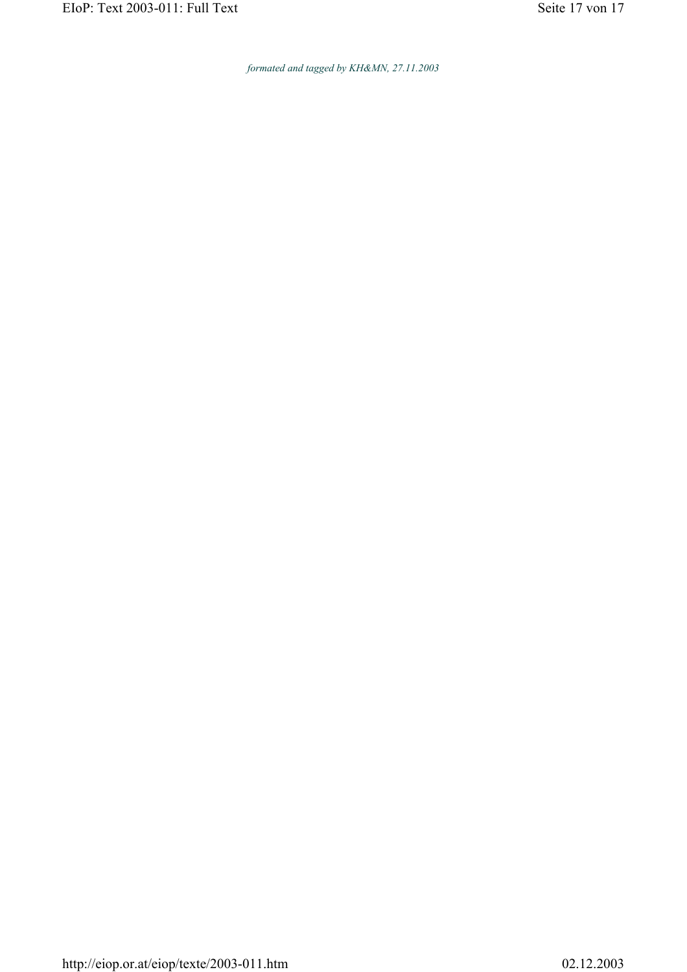*formated and tagged by KH&MN, 27.11.2003*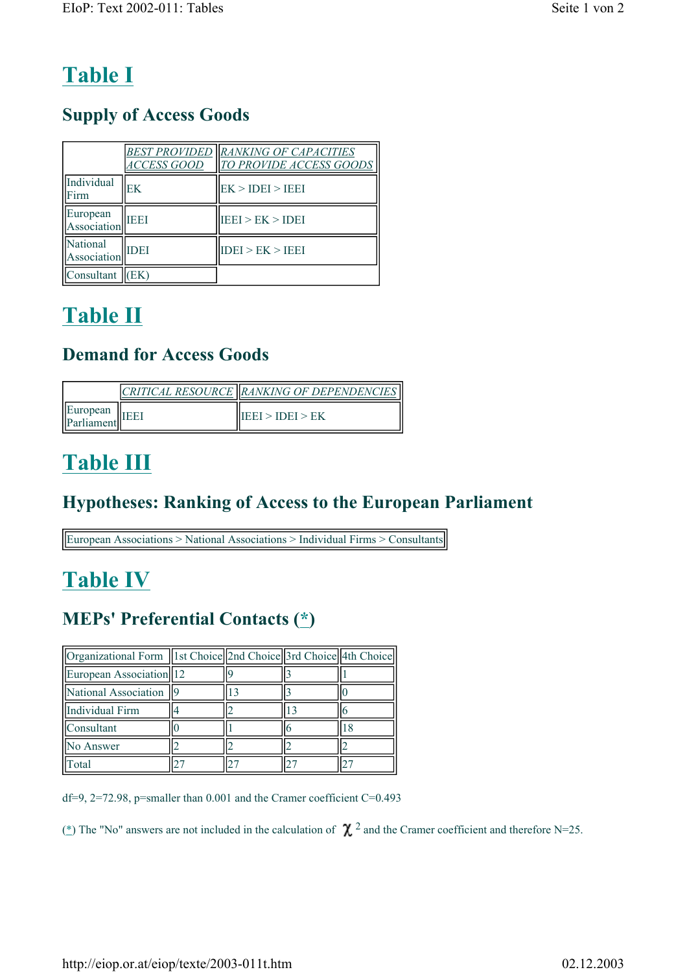# **Table I**

# **Supply of Access Goods**

|                         | <i>ACCESS GOOD</i> | <b>BEST PROVIDED RANKING OF CAPACITIES</b><br>TO PROVIDE ACCESS GOODS |
|-------------------------|--------------------|-----------------------------------------------------------------------|
| Individual<br>Firm      | EK                 | EK > IDEI > IEEE                                                      |
| European<br>Association | <b>TEET</b>        | IEE1 > EK > IDE1                                                      |
| National<br>Association | <b>IDEI</b>        | IDEI > EK > IEEI                                                      |
| Consultant              | EK)                |                                                                       |

# **Table II**

# **Demand for Access Goods**

|                        | CRITICAL RESOURCE   RANKING OF DEPENDENCIES |
|------------------------|---------------------------------------------|
| European<br>Parliament | IEEI > IDEI > EK                            |

# **Table III**

# **Hypotheses: Ranking of Access to the European Parliament**

European Associations > National Associations > Individual Firms > Consultants

# **Table IV**

# **MEPs' Preferential Contacts (\*)**

| Organizational Form   1st Choice  2nd Choice  3rd Choice  4th Choice |  |  |
|----------------------------------------------------------------------|--|--|
| European Association 12                                              |  |  |
| National Association                                                 |  |  |
| Individual Firm                                                      |  |  |
| Consultant                                                           |  |  |
| No Answer                                                            |  |  |
| otal                                                                 |  |  |

df=9, 2=72.98, p=smaller than 0.001 and the Cramer coefficient C=0.493

(\*) The "No" answers are not included in the calculation of  $\chi^2$  and the Cramer coefficient and therefore N=25.